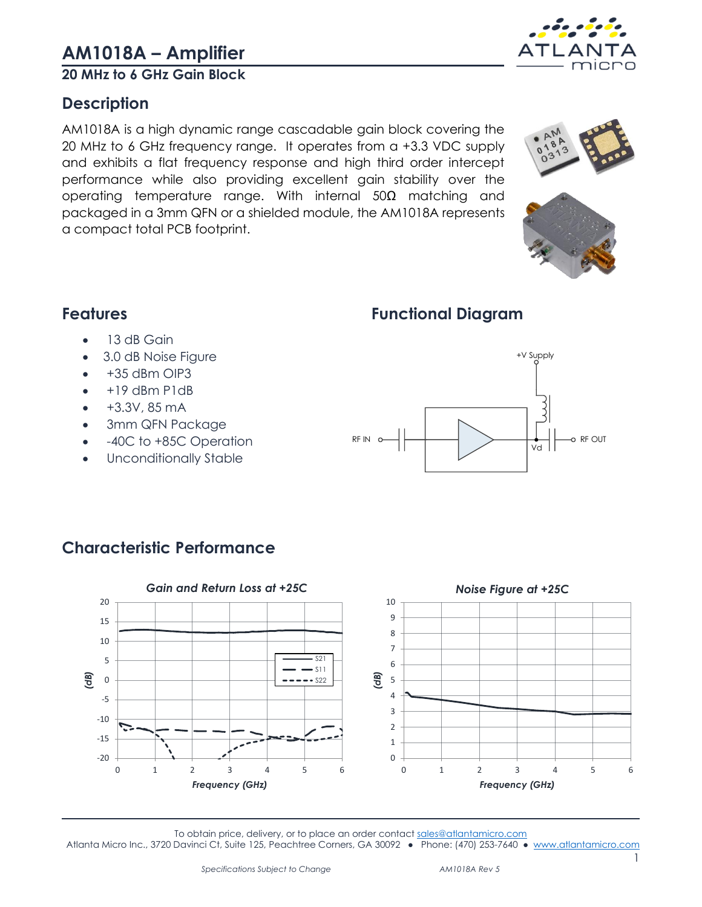**20 MHz to 6 GHz Gain Block**

# <span id="page-0-0"></span>**Description**

AM1018A is a high dynamic range cascadable gain block covering the 20 MHz to 6 GHz frequency range. It operates from a +3.3 VDC supply and exhibits a flat frequency response and high third order intercept performance while also providing excellent gain stability over the operating temperature range. With internal 50Ω matching and packaged in a 3mm QFN or a shielded module, the AM1018A represents a compact total PCB footprint.

# <span id="page-0-2"></span>**Functional Diagram**

 $RFN$   $\circ$   $\leftarrow$   $\leftarrow$   $\leftarrow$   $\leftarrow$   $\leftarrow$   $\leftarrow$   $\leftarrow$   $\circ$   $RF$  OUT

• 13 dB Gain

<span id="page-0-1"></span>**Features**

-20 -15 -10 -5 0 5 10 15 20

*(dB)*

- 3.0 dB Noise Figure
- $\bullet$  +35 dBm OIP3
- $\bullet$  +19 dBm P1dB
- +3.3V, 85 mA
- 3mm QFN Package
- -40C to +85C Operation
- Unconditionally Stable

<span id="page-0-3"></span>



 $\Omega$ 1

0 1 2 3 4 5 6

*Frequency (GHz)*

0 1 2 3 4 5 6

*Frequency (GHz)*





+V Supply

Vd



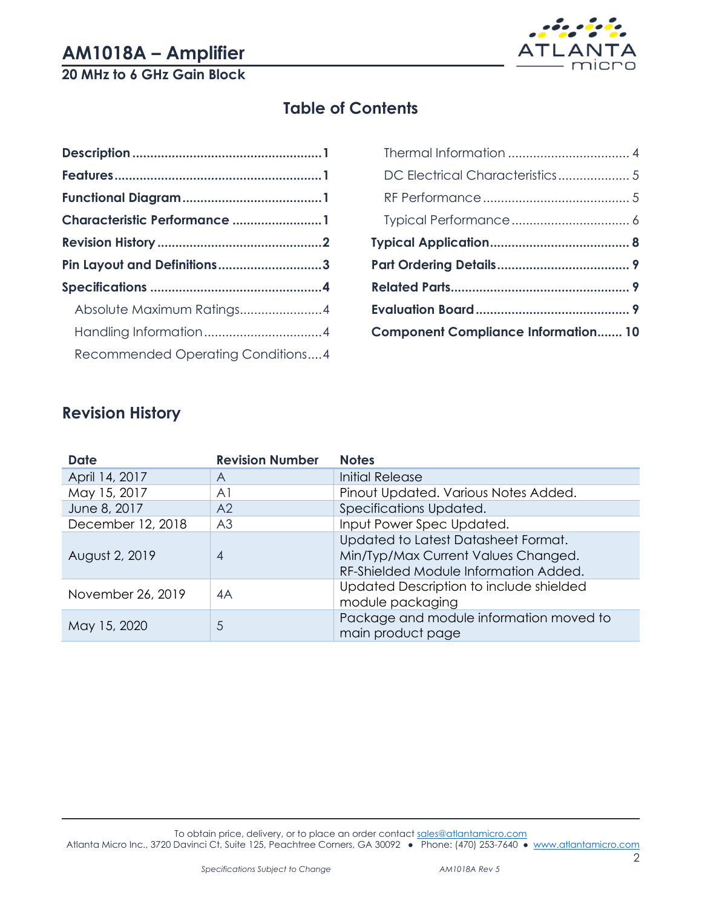# **20 MHz to 6 GHz Gain Block**



# **Table of Contents**

| Characteristic Performance 1      |  |
|-----------------------------------|--|
|                                   |  |
| Pin Layout and Definitions3       |  |
|                                   |  |
| Absolute Maximum Ratings4         |  |
|                                   |  |
| Recommended Operating Conditions4 |  |
|                                   |  |

| DC Electrical Characteristics 5            |  |
|--------------------------------------------|--|
|                                            |  |
|                                            |  |
|                                            |  |
|                                            |  |
|                                            |  |
|                                            |  |
| <b>Component Compliance Information 10</b> |  |
|                                            |  |

# <span id="page-1-0"></span>**Revision History**

| <b>Date</b>       | <b>Revision Number</b> | <b>Notes</b>                                                                                                        |
|-------------------|------------------------|---------------------------------------------------------------------------------------------------------------------|
| April 14, 2017    | Α                      | <b>Initial Release</b>                                                                                              |
| May 15, 2017      | A <sub>1</sub>         | Pinout Updated. Various Notes Added.                                                                                |
| June 8, 2017      | A <sub>2</sub>         | Specifications Updated.                                                                                             |
| December 12, 2018 | A <sub>3</sub>         | Input Power Spec Updated.                                                                                           |
| August 2, 2019    | $\overline{4}$         | Updated to Latest Datasheet Format.<br>Min/Typ/Max Current Values Changed.<br>RF-Shielded Module Information Added. |
| November 26, 2019 | 4A                     | Updated Description to include shielded<br>module packaging                                                         |
| May 15, 2020      | 5                      | Package and module information moved to<br>main product page                                                        |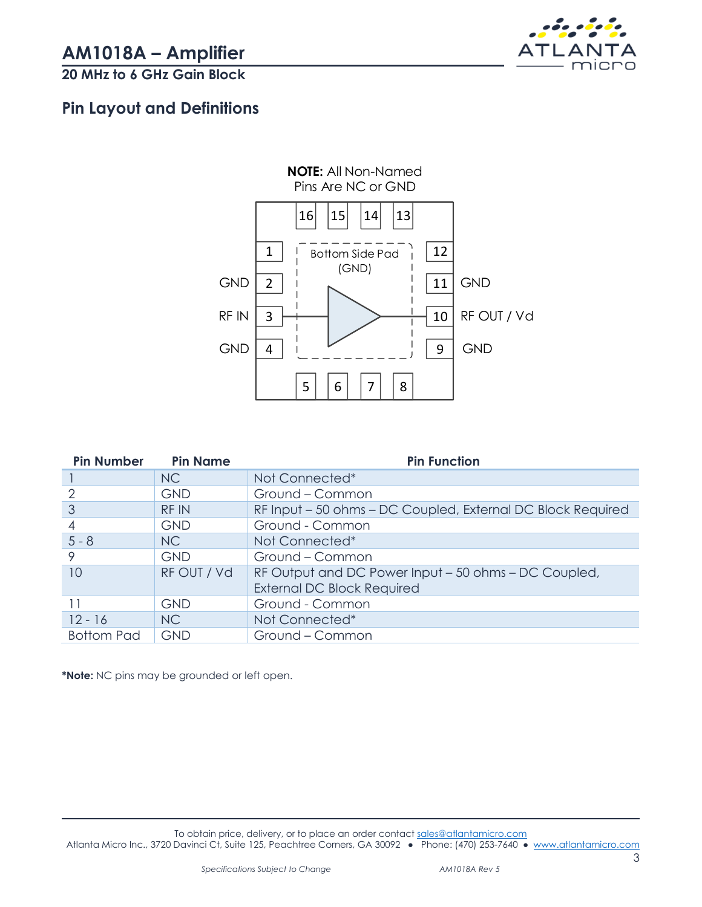

# <span id="page-2-0"></span>**Pin Layout and Definitions**



| <b>Pin Number</b> | <b>Pin Name</b> | <b>Pin Function</b>                                                                       |
|-------------------|-----------------|-------------------------------------------------------------------------------------------|
|                   | N <sub>C</sub>  | Not Connected*                                                                            |
|                   | <b>GND</b>      | Ground - Common                                                                           |
| 3                 | <b>RFIN</b>     | RF Input - 50 ohms - DC Coupled, External DC Block Required                               |
| 4                 | <b>GND</b>      | Ground - Common                                                                           |
| $5 - 8$           | NC              | Not Connected*                                                                            |
| 9                 | <b>GND</b>      | Ground - Common                                                                           |
| 10                | RF OUT / Vd     | RF Output and DC Power Input - 50 ohms - DC Coupled,<br><b>External DC Block Required</b> |
|                   | <b>GND</b>      | Ground - Common                                                                           |
| $12 - 16$         | NC              | Not Connected*                                                                            |
| <b>Bottom Pad</b> | <b>GND</b>      | Ground - Common                                                                           |

**\*Note:** NC pins may be grounded or left open.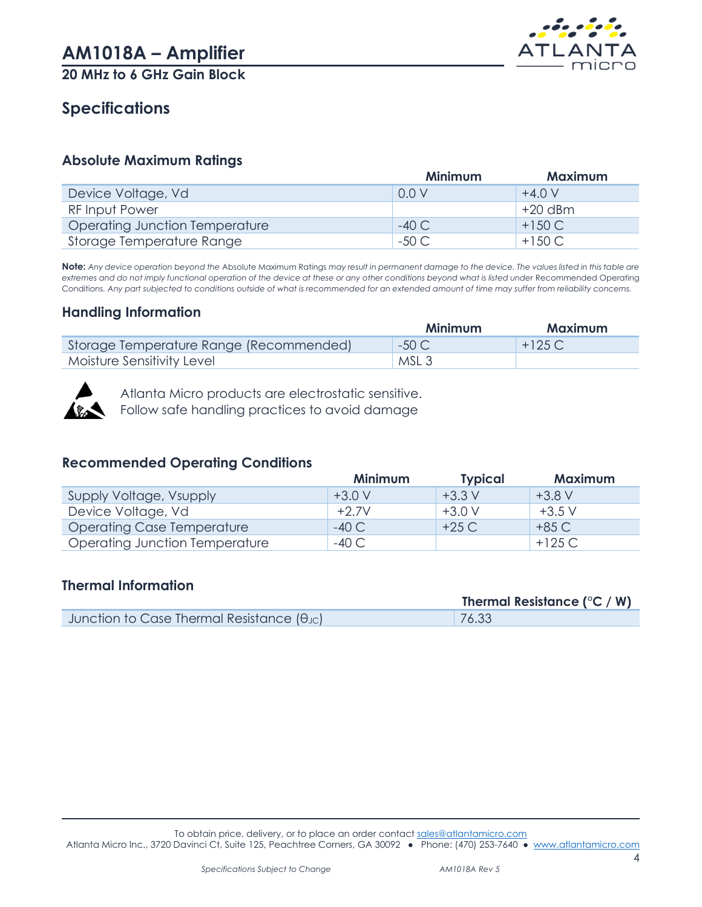

# <span id="page-3-0"></span>**Specifications**

#### <span id="page-3-1"></span>**Absolute Maximum Ratings**

|                                | <b>Minimum</b>  | <b>Maximum</b> |
|--------------------------------|-----------------|----------------|
| Device Voltage, Vd             | 0.0V            | $+4.0V$        |
| <b>RF Input Power</b>          |                 | $+20$ dBm      |
| Operating Junction Temperature | $-40C$          | $+150C$        |
| Storage Temperature Range      | $-50 \text{ C}$ | $+150C$        |

**Note:** *Any device operation beyond the* Absolute Maximum Ratings *may result in permanent damage to the device. The values listed in this table are*  extremes and do not imply functional operation of the device at these or any other conditions beyond what is listed under Recommended Operating Conditions*. Any part subjected to conditions outside of what is recommended for an extended amount of time may suffer from reliability concerns.*

#### <span id="page-3-2"></span>**Handling Information**

|                                         | Minimum          | <b>Maximum</b> |
|-----------------------------------------|------------------|----------------|
| Storage Temperature Range (Recommended) | -50 C            | $+125C$        |
| Moisture Sensitivity Level              | MSL <sub>3</sub> |                |



Atlanta Micro products are electrostatic sensitive.

Follow safe handling practices to avoid damage

#### <span id="page-3-3"></span>**Recommended Operating Conditions**

|                                   | <b>Minimum</b> | <b>Typical</b>   | <b>Maximum</b> |
|-----------------------------------|----------------|------------------|----------------|
| Supply Voltage, Vsupply           | $+3.0 V$       | $+3.3 \text{ V}$ | $+3.8V$        |
| Device Voltage, Vd                | $+2.7V$        | $+3.0 V$         | $+3.5$ V       |
| <b>Operating Case Temperature</b> | -40 C          | +25 C            | +85 C          |
| Operating Junction Temperature    | -40 C          |                  | $+125$ C       |

#### <span id="page-3-4"></span>**Thermal Information**

|                                                            | Thermal Resistance ( $\degree$ C / W) |
|------------------------------------------------------------|---------------------------------------|
| Junction to Case Thermal Resistance $(\theta_{\text{JC}})$ | 76.33                                 |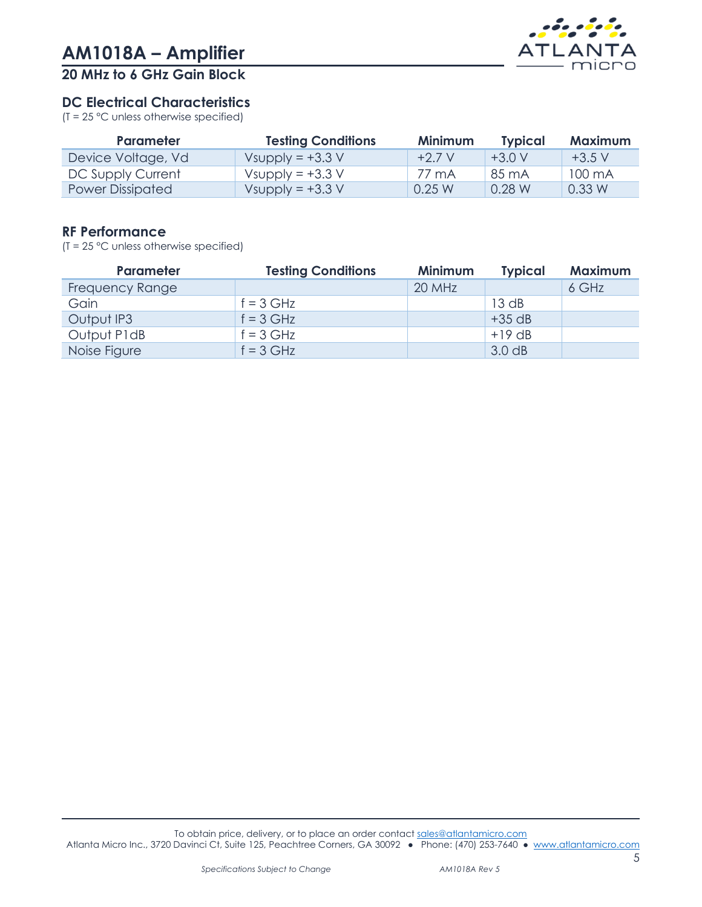

#### <span id="page-4-0"></span>**DC Electrical Characteristics**

(T = 25 °C unless otherwise specified)

| <b>Parameter</b>   | <b>Testing Conditions</b> | <b>Minimum</b> | <b>Typical</b> | <b>Maximum</b> |
|--------------------|---------------------------|----------------|----------------|----------------|
| Device Voltage, Vd | Vsupply = $+3.3$ V        | $+2.7 V$       | $+3.0V$        | $+3.5$ V       |
| DC Supply Current  | Vsupply = $+3.3$ V        | 77 mA          | 85 mA          | 100 mA         |
| Power Dissipated   | Vsupply = $+3.3$ V        | 0.25 W         | 0.28 W         | 0.33 W         |

#### <span id="page-4-1"></span>**RF Performance**

(T = 25 °C unless otherwise specified)

| Parameter              | <b>Testing Conditions</b> | <b>Minimum</b> | <b>Typical</b> | <b>Maximum</b> |
|------------------------|---------------------------|----------------|----------------|----------------|
| <b>Frequency Range</b> |                           | 20 MHz         |                | 6 GHz          |
| Gain                   | $f = 3$ GHz               |                | 13 dB          |                |
| Output IP3             | $f = 3$ GHz               |                | $+35$ dB       |                |
| Output P1dB            | $f = 3$ GHz               |                | $+19$ dB       |                |
| Noise Figure           | $f = 3$ GHz               |                | 3.0 dB         |                |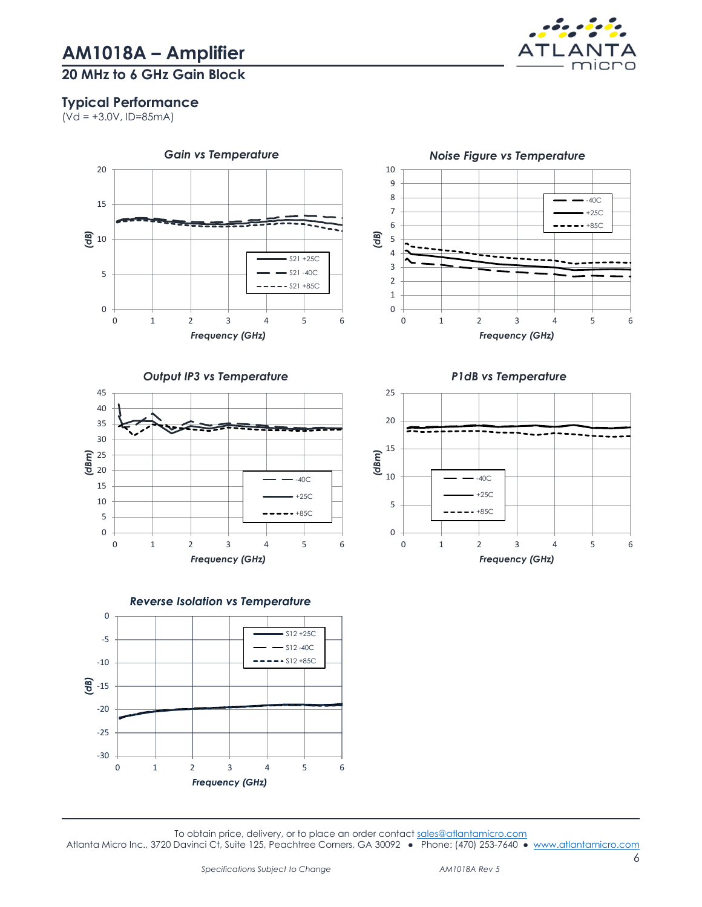

#### <span id="page-5-0"></span>**Typical Performance**

 $(\overline{Vd} = +3.0V, ID=85mA)$ 









To obtain price, delivery, or to place an order contact [sales@atlantamicro.com](mailto:sales@atlantamicro.com) Atlanta Micro Inc., 3720 Davinci Ct, Suite 125, Peachtree Corners, GA 30092 • Phone: (470) 253-7640 • [www.atlantamicro.com](http://www.atlantamicro.com/)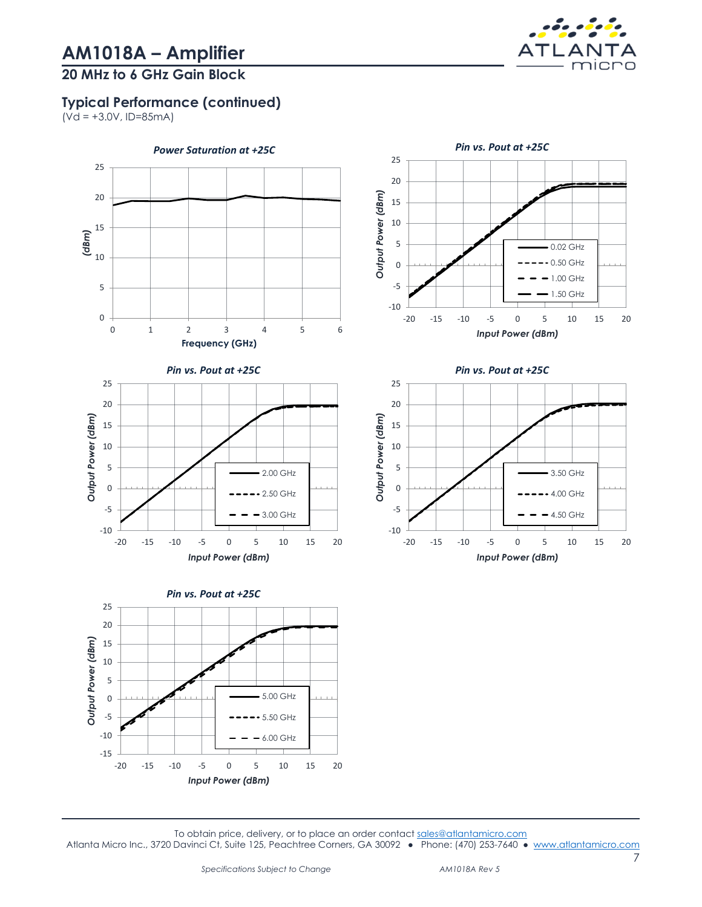### **20 MHz to 6 GHz Gain Block**



 $(Vd = +3.0V, ID=85mA)$ 



To obtain price, delivery, or to place an order contact [sales@atlantamicro.com](mailto:sales@atlantamicro.com) Atlanta Micro Inc., 3720 Davinci Ct, Suite 125, Peachtree Corners, GA 30092 • Phone: (470) 253-7640 • [www.atlantamicro.com](http://www.atlantamicro.com/)

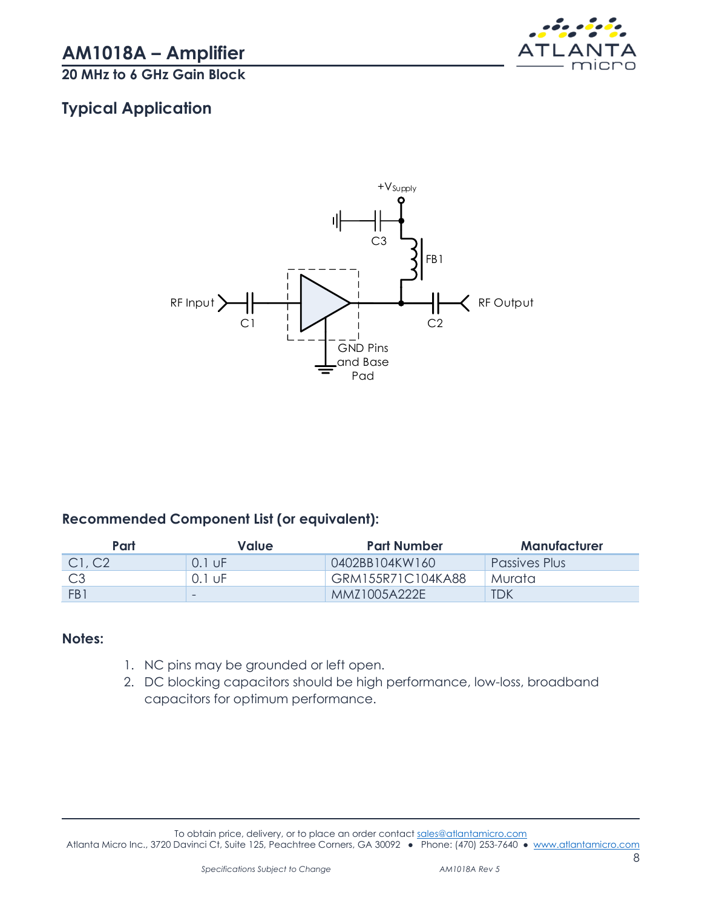

# <span id="page-7-0"></span>**Typical Application**



#### **Recommended Component List (or equivalent):**

| Part   | Value    | Part Number         | Manufacturer  |
|--------|----------|---------------------|---------------|
| Cl, C2 | $0.1$ UF | 0402BB104KW160      | Passives Plus |
|        | 0.1 UE   | GRM155R71C104KA88   | Murata        |
| FB1    | -        | <b>MMZ1005A222E</b> | TDK           |

#### **Notes:**

- 1. NC pins may be grounded or left open.
- 2. DC blocking capacitors should be high performance, low-loss, broadband capacitors for optimum performance.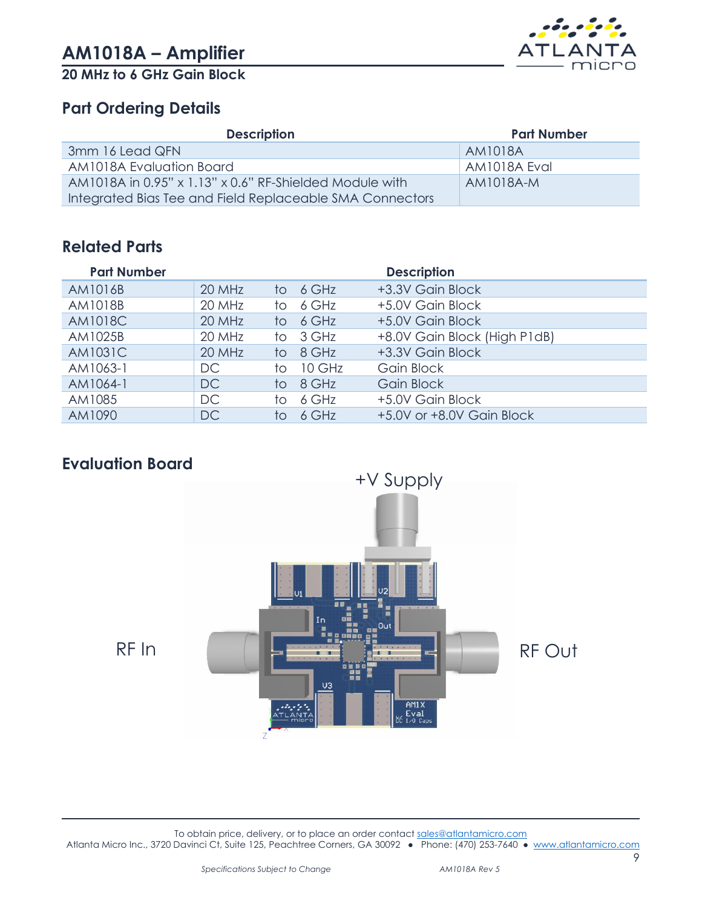



### <span id="page-8-0"></span>**Part Ordering Details**

| <b>Description</b>                                                    | <b>Part Number</b> |
|-----------------------------------------------------------------------|--------------------|
| 3mm 16 Lead QFN                                                       | AM1018A            |
| AM1018A Evaluation Board                                              | AM1018A Eval       |
| AM1018A in 0.95" $\times$ 1.13" $\times$ 0.6" RF-Shielded Module with | $AM1018A-M$        |
| Integrated Bias Tee and Field Replaceable SMA Connectors              |                    |

# <span id="page-8-1"></span>**Related Parts**

| <b>Part Number</b> |           |                 |          | <b>Description</b>           |
|--------------------|-----------|-----------------|----------|------------------------------|
| AM1016B            | 20 MHz    |                 | to 6 GHz | +3.3V Gain Block             |
| AM1018B            | 20 MHz    | to.             | 6 GHz    | +5.0V Gain Block             |
| <b>AM1018C</b>     | 20 MHz    | to.             | 6 GHz    | +5.0V Gain Block             |
| AM1025B            | 20 MHz    |                 | to 3 GHz | +8.0V Gain Block (High P1dB) |
| <b>AM1031C</b>     | 20 MHz    | $\overline{10}$ | 8 GHz    | +3.3V Gain Block             |
| AM1063-1           | DC.       | to.             | 10 GHz   | Gain Block                   |
| AM1064-1           | DC.       |                 | to 8 GHz | Gain Block                   |
| AM1085             | DC.       | to.             | 6 GHz    | +5.0V Gain Block             |
| AM1090             | <b>DC</b> | to.             | 6 GHz    | +5.0V or +8.0V Gain Block    |

# <span id="page-8-2"></span>**Evaluation Board**